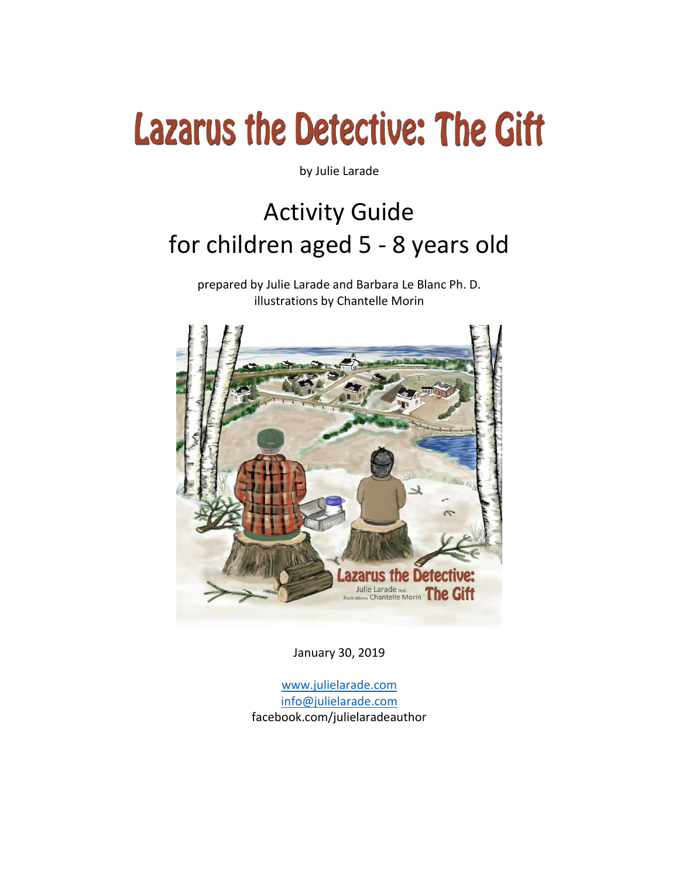by Julie Larade

### Activity Guide for children aged 5 - 8 years old

prepared by Julie Larade and Barbara Le Blanc Ph. D. illustrations by Chantelle Morin



January 30, 2019

[www.julielarade.com](http://www.julielarade.com/) [info@julielarade.com](mailto:info@julielarade.com) facebook.com/julielaradeauthor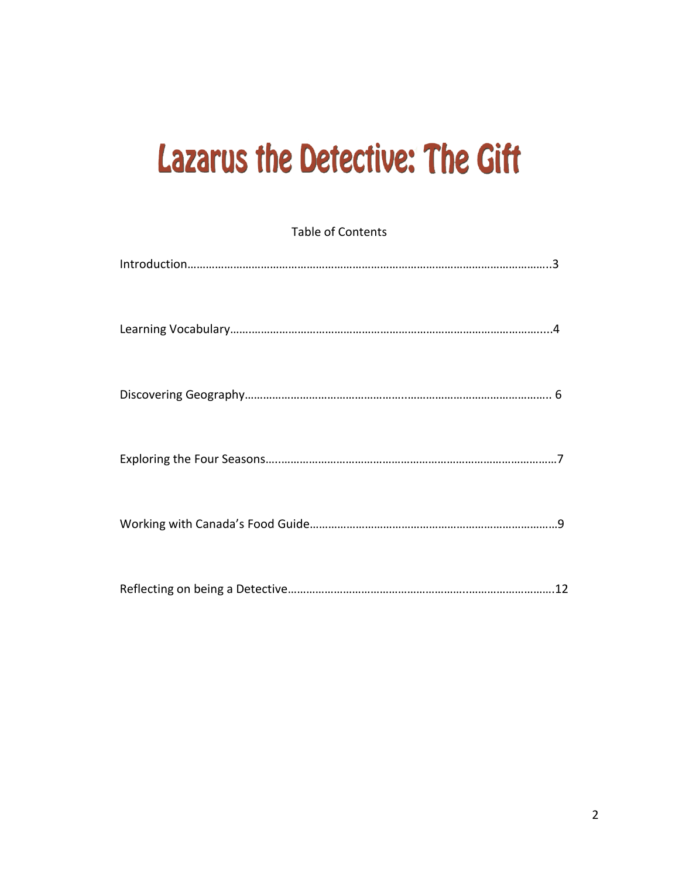| <b>Table of Contents</b> |  |  |
|--------------------------|--|--|
|                          |  |  |
|                          |  |  |
|                          |  |  |
|                          |  |  |
|                          |  |  |
|                          |  |  |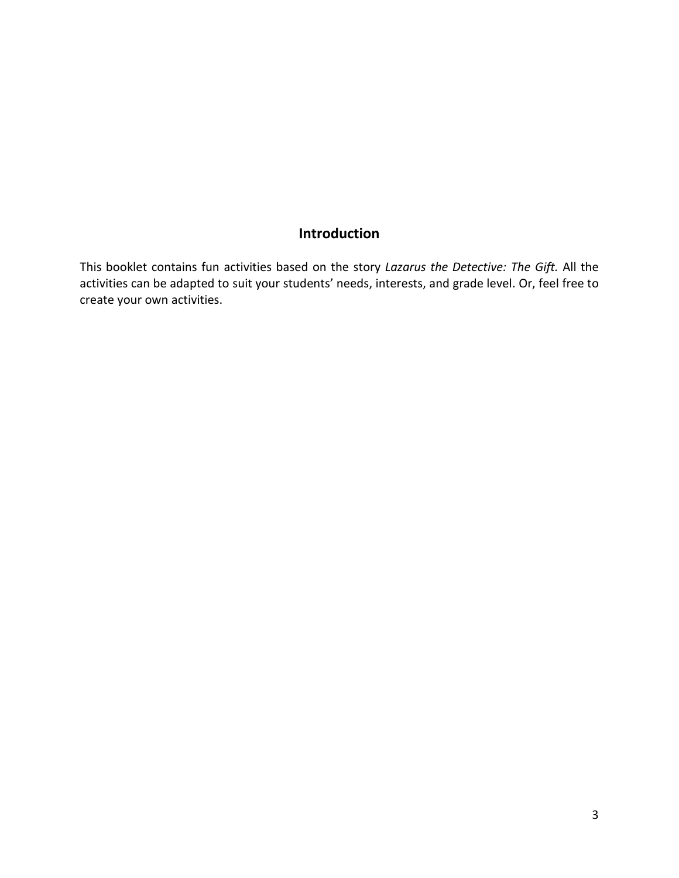#### **Introduction**

This booklet contains fun activities based on the story *Lazarus the Detective: The Gift.* All the activities can be adapted to suit your students' needs, interests, and grade level. Or, feel free to create your own activities.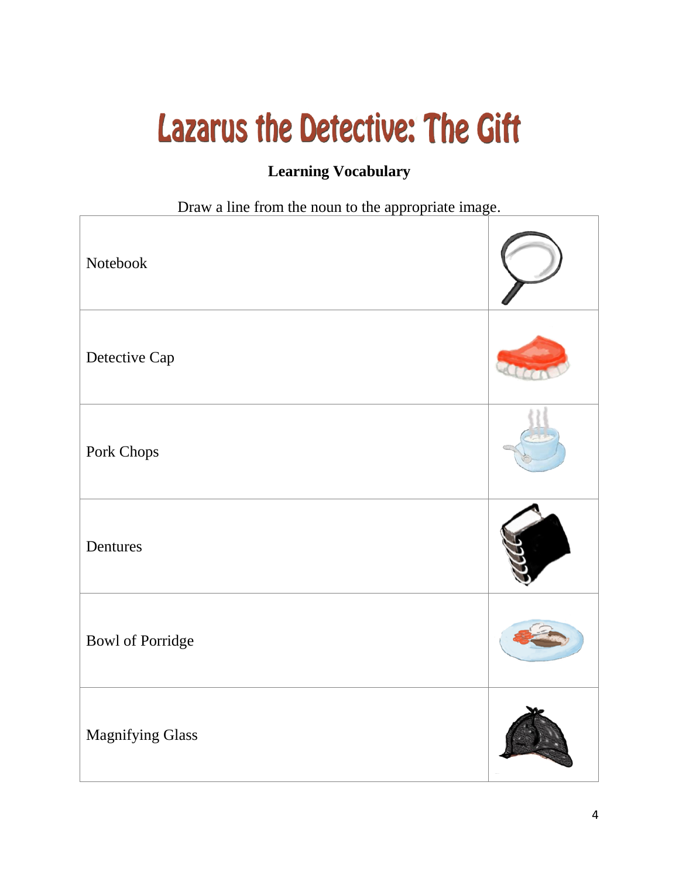#### **Learning Vocabulary**

Draw a line from the noun to the appropriate image.

| Notebook                |  |
|-------------------------|--|
| Detective Cap           |  |
| Pork Chops              |  |
| Dentures                |  |
| <b>Bowl of Porridge</b> |  |
| <b>Magnifying Glass</b> |  |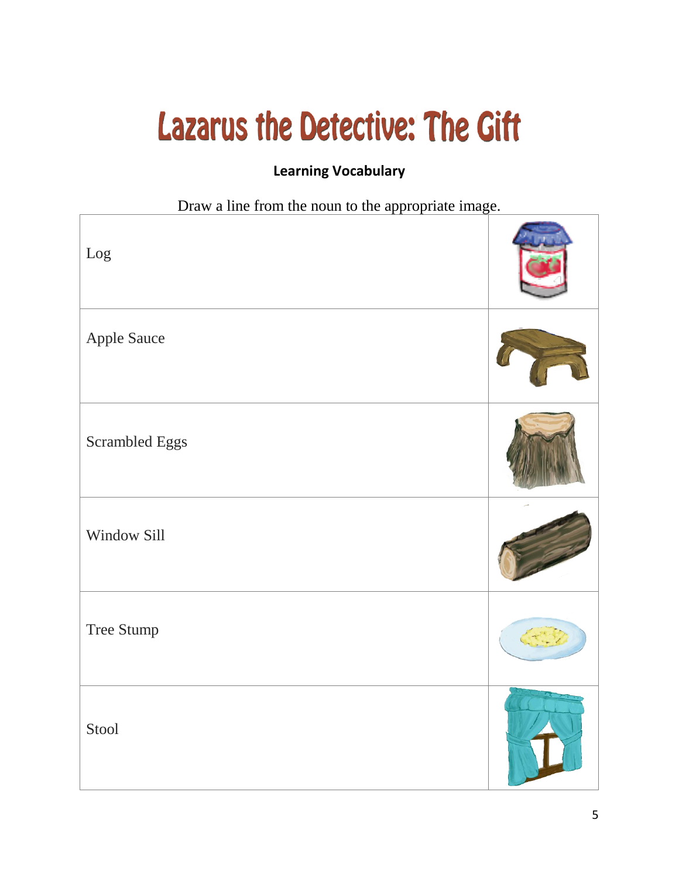#### **Learning Vocabulary**

Draw a line from the noun to the appropriate image.

| $\rm Log$      |  |
|----------------|--|
| Apple Sauce    |  |
| Scrambled Eggs |  |
| Window Sill    |  |
| Tree Stump     |  |
| Stool          |  |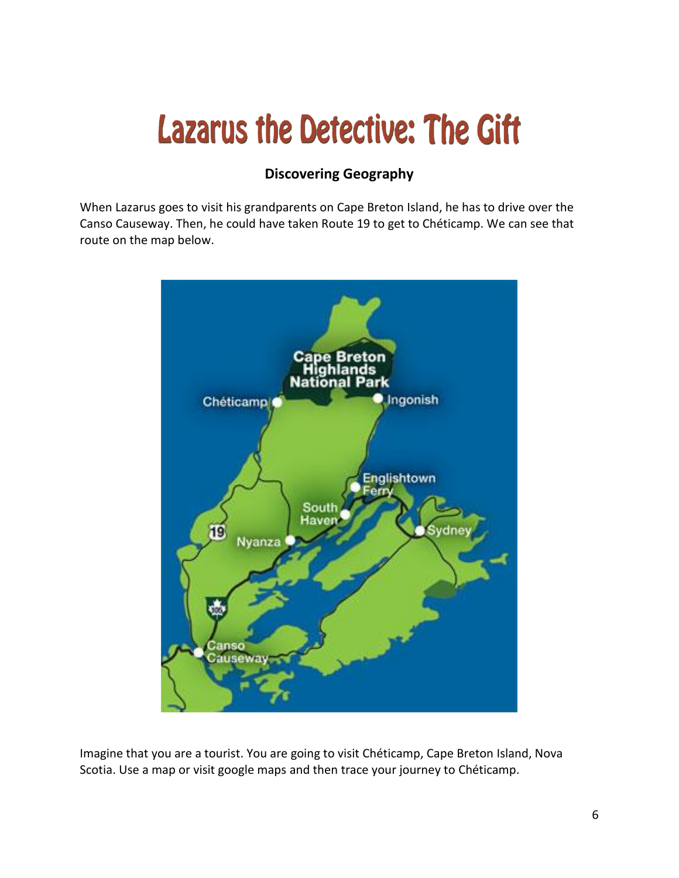#### **Discovering Geography**

When Lazarus goes to visit his grandparents on Cape Breton Island, he has to drive over the Canso Causeway. Then, he could have taken Route 19 to get to Chéticamp. We can see that route on the map below.



Imagine that you are a tourist. You are going to visit Chéticamp, Cape Breton Island, Nova Scotia. Use a map or visit google maps and then trace your journey to Chéticamp.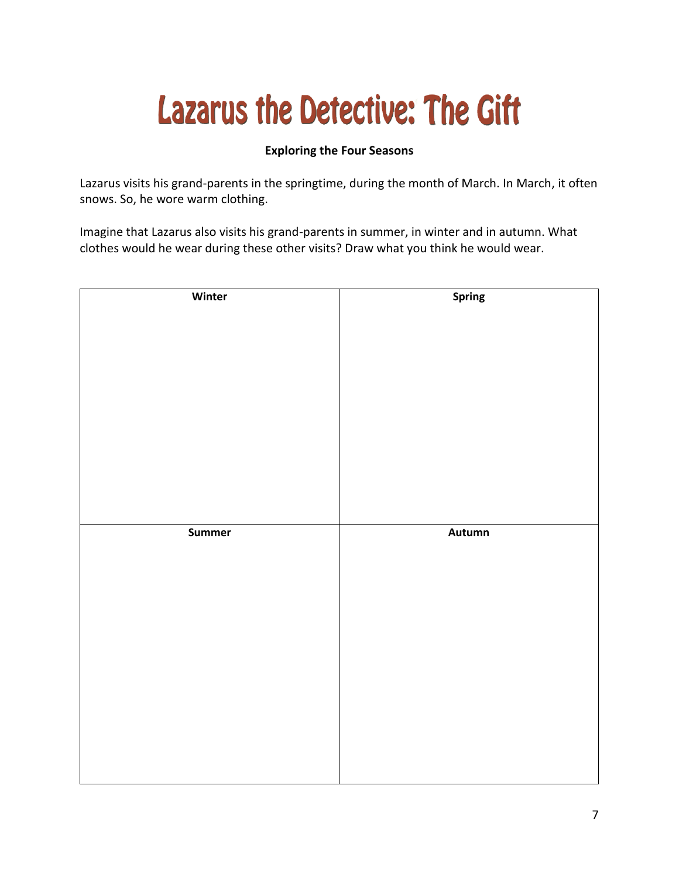#### **Exploring the Four Seasons**

Lazarus visits his grand-parents in the springtime, during the month of March. In March, it often snows. So, he wore warm clothing.

Imagine that Lazarus also visits his grand-parents in summer, in winter and in autumn. What clothes would he wear during these other visits? Draw what you think he would wear.

| Winter | <b>Spring</b> |
|--------|---------------|
|        |               |
|        |               |
|        |               |
|        |               |
|        |               |
|        |               |
|        |               |
|        |               |
|        |               |
|        |               |
|        |               |
|        |               |
|        |               |
|        |               |
|        |               |
|        |               |
| Summer | Autumn        |
|        |               |
|        |               |
|        |               |
|        |               |
|        |               |
|        |               |
|        |               |
|        |               |
|        |               |
|        |               |
|        |               |
|        |               |
|        |               |
|        |               |
|        |               |
|        |               |
|        |               |
|        |               |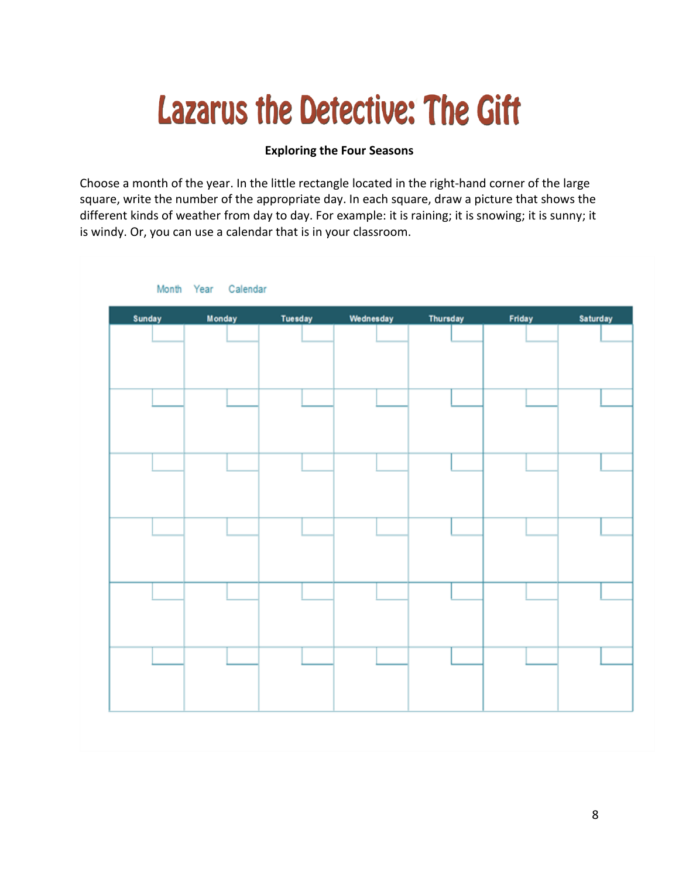#### **Exploring the Four Seasons**

Choose a month of the year. In the little rectangle located in the right-hand corner of the large square, write the number of the appropriate day. In each square, draw a picture that shows the different kinds of weather from day to day. For example: it is raining; it is snowing; it is sunny; it is windy. Or, you can use a calendar that is in your classroom.

| Sunday | <b>Monday</b> | Tuesday | Wednesday | Thursday | <b>Friday</b> | Saturday |
|--------|---------------|---------|-----------|----------|---------------|----------|
|        |               |         |           |          |               |          |
|        |               |         |           |          |               |          |
|        |               |         |           |          |               |          |
|        |               |         |           |          |               |          |
|        |               |         |           |          |               |          |
|        |               |         |           |          |               |          |
|        |               |         |           |          |               |          |
|        |               |         |           |          |               |          |
|        |               |         |           |          |               |          |
|        |               |         |           |          |               |          |
|        |               |         |           |          |               |          |
|        |               |         |           |          |               |          |
|        |               |         |           |          |               |          |
|        |               |         |           |          |               |          |
|        |               |         |           |          |               |          |
|        |               |         |           |          |               |          |
|        |               |         |           |          |               |          |
|        |               |         |           |          |               |          |
|        |               |         |           |          |               |          |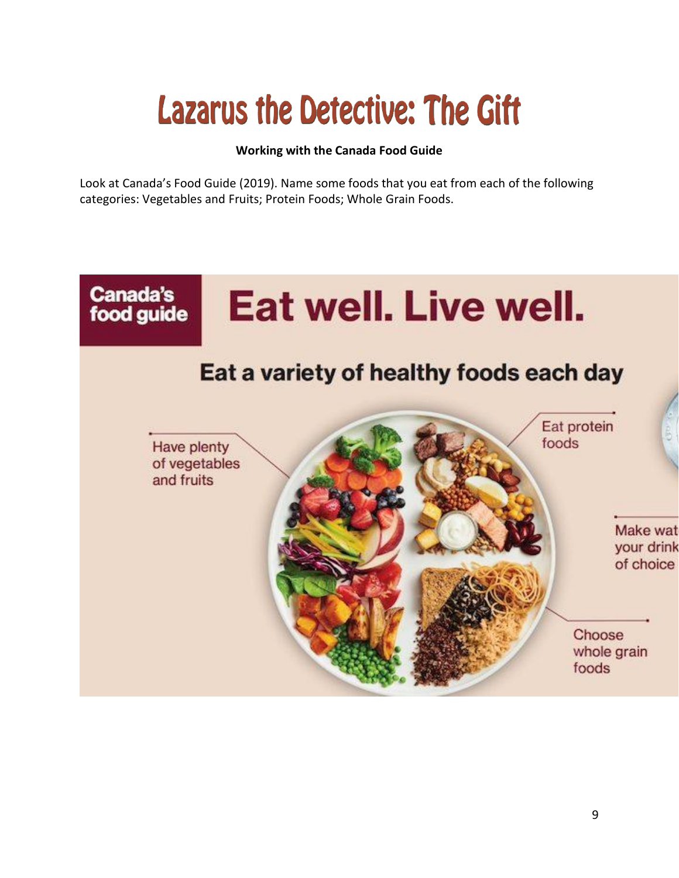#### **Working with the Canada Food Guide**

Look at Canada's Food Guide (2019). Name some foods that you eat from each of the following categories: Vegetables and Fruits; Protein Foods; Whole Grain Foods.

#### **Canada's** Eat well. Live well. food guide Eat a variety of healthy foods each day Eat protein foods Have plenty of vegetables and fruits Make wat your drink of choice Choose whole grain foods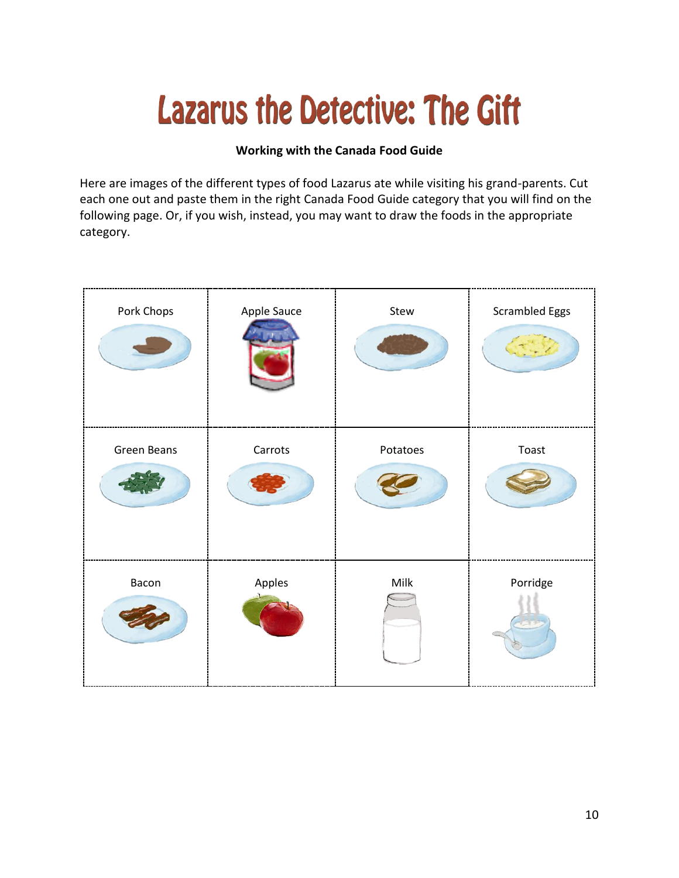#### **Working with the Canada Food Guide**

Here are images of the different types of food Lazarus ate while visiting his grand-parents. Cut each one out and paste them in the right Canada Food Guide category that you will find on the following page. Or, if you wish, instead, you may want to draw the foods in the appropriate category.

| Pork Chops  | Apple Sauce | Stew     | <b>Scrambled Eggs</b> |
|-------------|-------------|----------|-----------------------|
| Green Beans | Carrots     | Potatoes | Toast                 |
| Bacon       | Apples      | Milk     | Porridge              |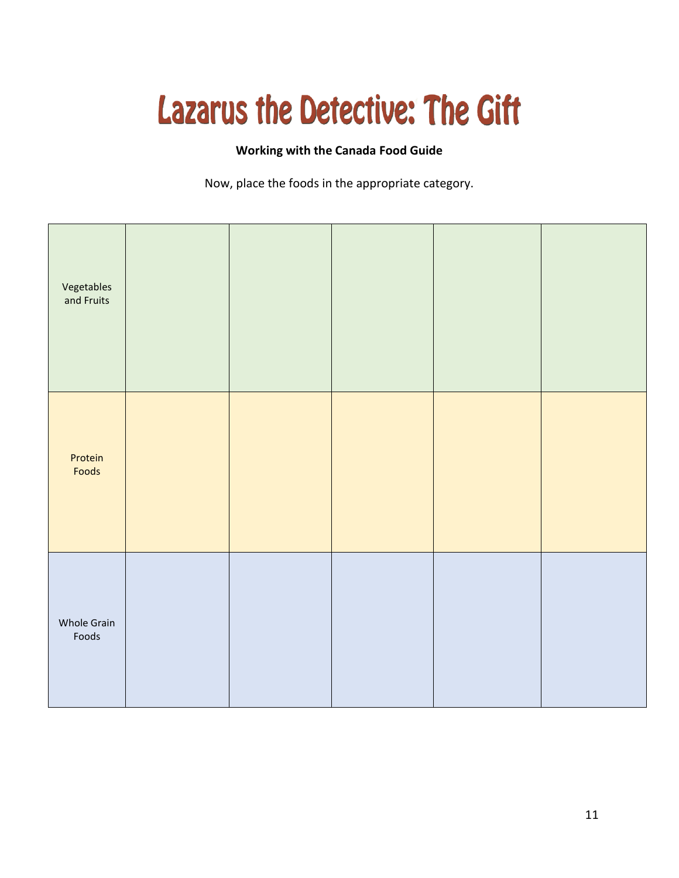#### **Working with the Canada Food Guide**

Now, place the foods in the appropriate category.